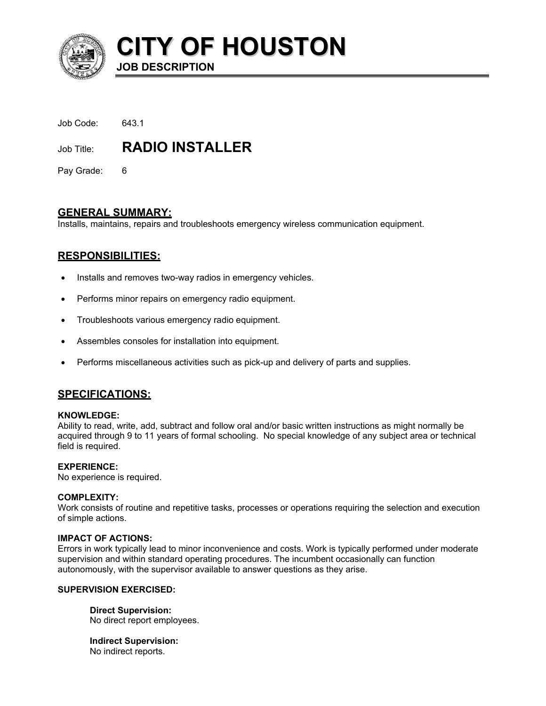

**CITY OF HOUSTON JOB DESCRIPTION** 

| Job Code: | 643.1 |  |
|-----------|-------|--|
|           |       |  |

Job Title: **RADIO INSTALLER** 

Pay Grade: 6

# **GENERAL SUMMARY:**

Installs, maintains, repairs and troubleshoots emergency wireless communication equipment.

# **RESPONSIBILITIES:**

- Installs and removes two-way radios in emergency vehicles.
- Performs minor repairs on emergency radio equipment.
- Troubleshoots various emergency radio equipment.
- Assembles consoles for installation into equipment.
- Performs miscellaneous activities such as pick-up and delivery of parts and supplies.

# **SPECIFICATIONS:**

## **KNOWLEDGE:**

Ability to read, write, add, subtract and follow oral and/or basic written instructions as might normally be acquired through 9 to 11 years of formal schooling. No special knowledge of any subject area or technical field is required.

## **EXPERIENCE:**

No experience is required.

## **COMPLEXITY:**

Work consists of routine and repetitive tasks, processes or operations requiring the selection and execution of simple actions.

## **IMPACT OF ACTIONS:**

Errors in work typically lead to minor inconvenience and costs. Work is typically performed under moderate supervision and within standard operating procedures. The incumbent occasionally can function autonomously, with the supervisor available to answer questions as they arise.

## **SUPERVISION EXERCISED:**

**Direct Supervision:** No direct report employees.

**Indirect Supervision:** No indirect reports.